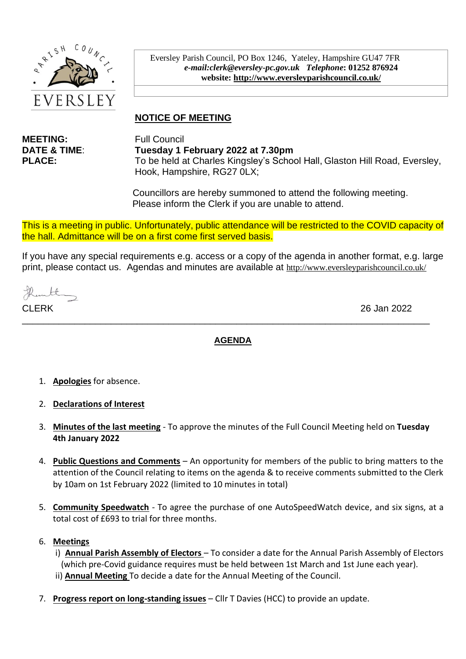

Eversley Parish Council, PO Box 1246, Yateley, Hampshire GU47 7FR *e-mail:clerk@eversley-pc.gov.uk**Telephone***: 01252 876924 website:<http://www.eversleyparishcouncil.co.uk/>**

# **NOTICE OF MEETING**

**MEETING:** Full Council

**DATE & TIME**: **Tuesday 1 February 2022 at 7.30pm PLACE:** To be held at Charles Kingsley's School Hall, Glaston Hill Road, Eversley, Hook, Hampshire, RG27 0LX;

> Councillors are hereby summoned to attend the following meeting. Please inform the Clerk if you are unable to attend.

This is a meeting in public. Unfortunately, public attendance will be restricted to the COVID capacity of the hall. Admittance will be on a first come first served basis.

If you have any special requirements e.g. access or a copy of the agenda in another format, e.g. large print, please contact us. Agendas and minutes are available at <http://www.eversleyparishcouncil.co.uk/>

thantly

CLERK 26 Jan 2022

#### **AGENDA**

\_\_\_\_\_\_\_\_\_\_\_\_\_\_\_\_\_\_\_\_\_\_\_\_\_\_\_\_\_\_\_\_\_\_\_\_\_\_\_\_\_\_\_\_\_\_\_\_\_\_\_\_\_\_\_\_\_\_\_\_\_\_\_\_\_\_\_\_\_\_\_\_\_\_\_\_\_\_

- 1. **Apologies** for absence.
- 2. **Declarations of Interest**
- 3. **Minutes of the last meeting** To approve the minutes of the Full Council Meeting held on **Tuesday 4th January 2022**
- 4. **Public Questions and Comments** An opportunity for members of the public to bring matters to the attention of the Council relating to items on the agenda & to receive comments submitted to the Clerk by 10am on 1st February 2022 (limited to 10 minutes in total)
- 5. **Community Speedwatch** To agree the purchase of one AutoSpeedWatch device, and six signs, at a total cost of £693 to trial for three months.

#### 6. **Meetings**

- i) **Annual Parish Assembly of Electors**  To consider a date for the Annual Parish Assembly of Electors (which pre-Covid guidance requires must be held between 1st March and 1st June each year). ii) **Annual Meeting** To decide a date for the Annual Meeting of the Council.
- 7. **Progress report on long-standing issues** Cllr T Davies (HCC) to provide an update.